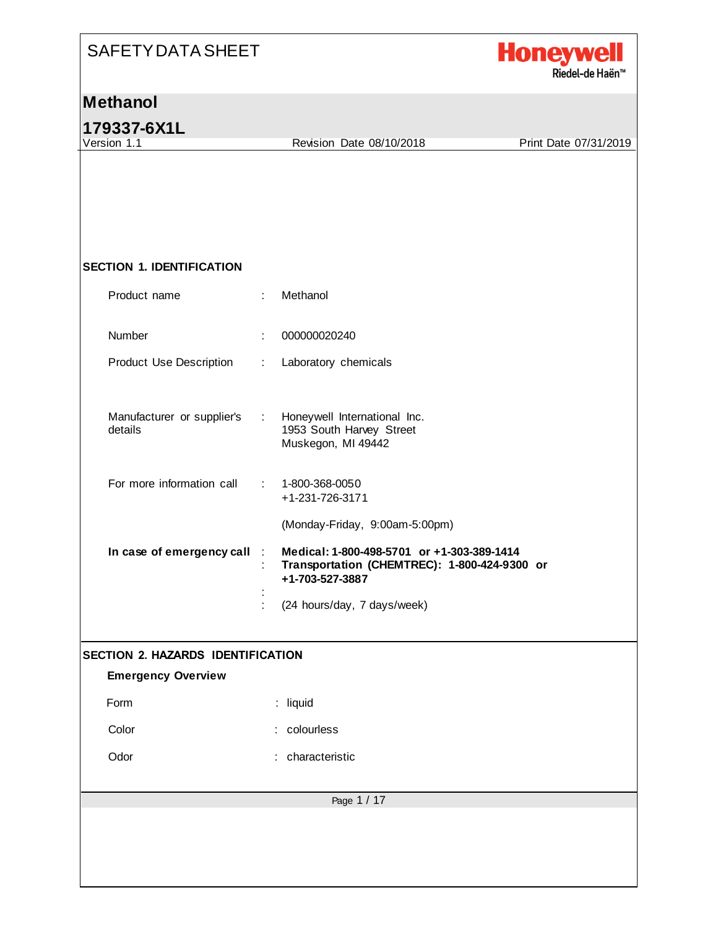

**179337-6X1L**<br>Version 1.1

Revision Date 08/10/2018 Print Date 07/31/2019

#### **SECTION 1. IDENTIFICATION**

| Product name                          | ÷       | Methanol                                                                                                      |
|---------------------------------------|---------|---------------------------------------------------------------------------------------------------------------|
| Number                                | ÷       | 000000020240                                                                                                  |
| Product Use Description               | ÷       | Laboratory chemicals                                                                                          |
| Manufacturer or supplier's<br>details | ÷       | Honeywell International Inc.<br>1953 South Harvey Street<br>Muskegon, MI 49442                                |
| For more information call             | t.      | 1-800-368-0050<br>+1-231-726-3171                                                                             |
|                                       |         | (Monday-Friday, 9:00am-5:00pm)                                                                                |
| In case of emergency call             | $\cdot$ | Medical: 1-800-498-5701 or +1-303-389-1414<br>Transportation (CHEMTREC): 1-800-424-9300 or<br>+1-703-527-3887 |
|                                       |         | (24 hours/day, 7 days/week)                                                                                   |
| SECTION 2. HAZARDS IDENTIFICATION     |         |                                                                                                               |
| <b>Emergency Overview</b>             |         |                                                                                                               |
| Form                                  |         | : liquid                                                                                                      |
| Color                                 |         | : colourless                                                                                                  |
| Odor                                  |         | : characteristic                                                                                              |
|                                       |         | Page 1 / 17                                                                                                   |
|                                       |         |                                                                                                               |
|                                       |         |                                                                                                               |
|                                       |         |                                                                                                               |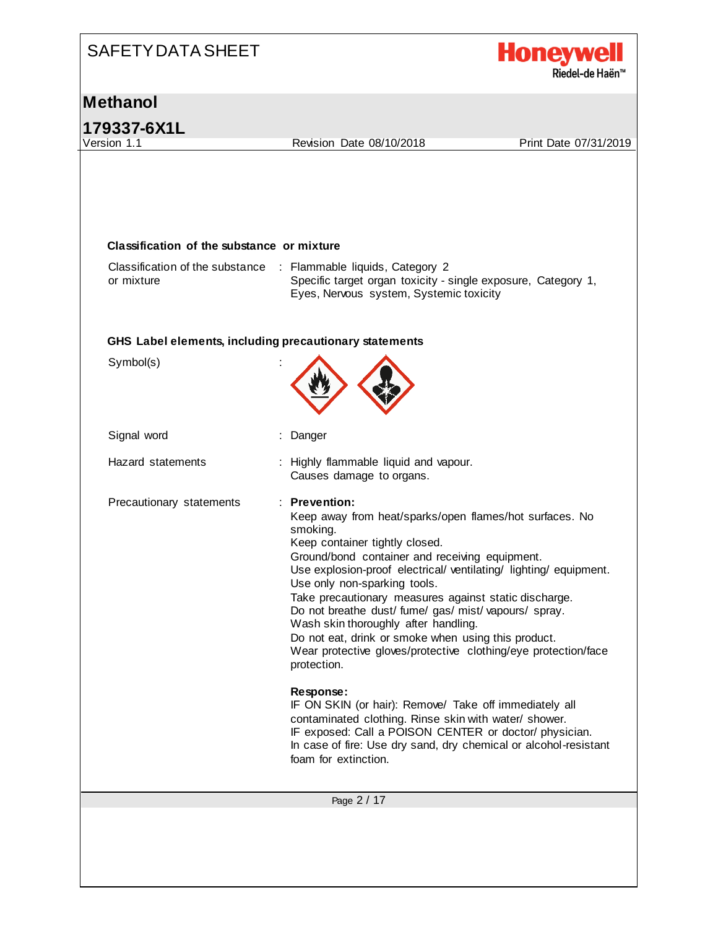# SAFETY DATA SHEET **Honeyw** Riedel-de Haën<sup>™</sup> **Methanol 179337-6X1L** Revision Date 08/10/2018 Print Date 07/31/2019 **Classification of the substance or mixture** Classification of the substance : Flammable liquids, Category 2 or mixture Specific target organ toxicity - single exposure, Category 1, Eyes, Nervous system, Systemic toxicity **GHS Label elements, including precautionary statements** Symbol(s) : Signal word : Danger Hazard statements : Highly flammable liquid and vapour. Causes damage to organs. Precautionary statements : **Prevention:**  Keep away from heat/sparks/open flames/hot surfaces. No smoking. Keep container tightly closed. Ground/bond container and receiving equipment. Use explosion-proof electrical/ ventilating/ lighting/ equipment. Use only non-sparking tools. Take precautionary measures against static discharge. Do not breathe dust/ fume/ gas/ mist/ vapours/ spray. Wash skin thoroughly after handling. Do not eat, drink or smoke when using this product. Wear protective gloves/protective clothing/eye protection/face protection. **Response:**  IF ON SKIN (or hair): Remove/ Take off immediately all contaminated clothing. Rinse skin with water/ shower. IF exposed: Call a POISON CENTER or doctor/ physician. In case of fire: Use dry sand, dry chemical or alcohol-resistant foam for extinction.Page 2 / 17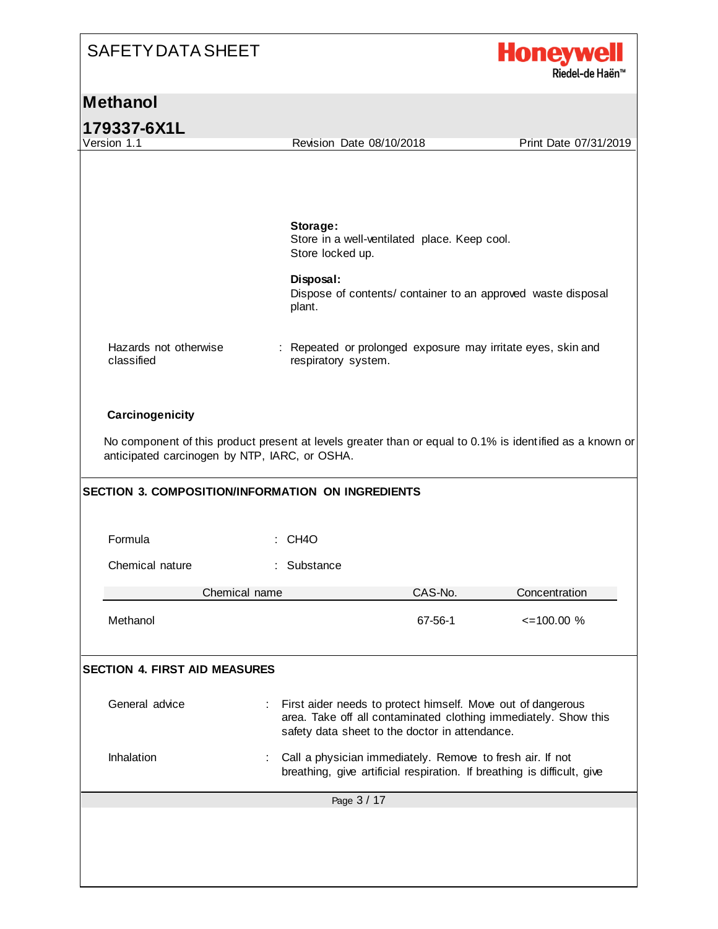

#### **Methanol**

|  |  | 179337-6X1L |  |  |  |  |
|--|--|-------------|--|--|--|--|
|  |  | .           |  |  |  |  |

classified

Version 1.1 Revision Date 08/10/2018 Print Date 07/31/2019 **Storage:**  Store in a well-ventilated place. Keep cool. Store locked up. **Disposal:**  Dispose of contents/ container to an approved waste disposal plant. Hazards not otherwise : Repeated or prolonged exposure may irritate eyes, skin and respiratory system. **Carcinogenicity** No component of this product present at levels greater than or equal to 0.1% is identified as a known or anticipated carcinogen by NTP, IARC, or OSHA.

| <b>SECTION 3. COMPOSITION/INFORMATION ON INGREDIENTS</b> |                                                                                                               |         |                                                                         |  |
|----------------------------------------------------------|---------------------------------------------------------------------------------------------------------------|---------|-------------------------------------------------------------------------|--|
| Formula                                                  | $\therefore$ CH4O                                                                                             |         |                                                                         |  |
| Chemical nature                                          | : Substance                                                                                                   |         |                                                                         |  |
| Chemical name                                            |                                                                                                               | CAS-No. | Concentration                                                           |  |
| Methanol                                                 |                                                                                                               | 67-56-1 | $\leq$ 100.00 %                                                         |  |
| <b>SECTION 4. FIRST AID MEASURES</b>                     |                                                                                                               |         |                                                                         |  |
| General advice                                           | First aider needs to protect himself. Move out of dangerous<br>safety data sheet to the doctor in attendance. |         | area. Take off all contaminated clothing immediately. Show this         |  |
| Inhalation                                               | Call a physician immediately. Remove to fresh air. If not                                                     |         | breathing, give artificial respiration. If breathing is difficult, give |  |
|                                                          | Page 3 / 17                                                                                                   |         |                                                                         |  |
|                                                          |                                                                                                               |         |                                                                         |  |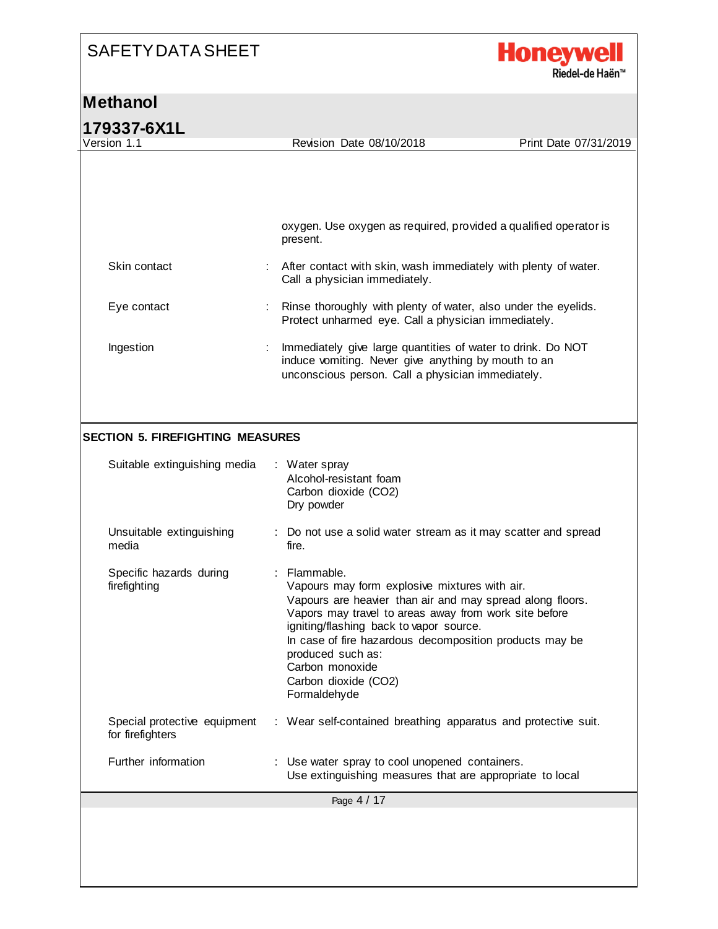

| 179337-6X1L                                      |                                                                                                                                                                         |                       |
|--------------------------------------------------|-------------------------------------------------------------------------------------------------------------------------------------------------------------------------|-----------------------|
| Version 1.1                                      | Revision Date 08/10/2018                                                                                                                                                | Print Date 07/31/2019 |
|                                                  |                                                                                                                                                                         |                       |
|                                                  |                                                                                                                                                                         |                       |
|                                                  | oxygen. Use oxygen as required, provided a qualified operator is                                                                                                        |                       |
|                                                  | present.                                                                                                                                                                |                       |
| Skin contact                                     | After contact with skin, wash immediately with plenty of water.<br>Call a physician immediately.                                                                        |                       |
| Eye contact                                      | Rinse thoroughly with plenty of water, also under the eyelids.<br>Protect unharmed eye. Call a physician immediately.                                                   |                       |
| Ingestion                                        | Immediately give large quantities of water to drink. Do NOT<br>induce vomiting. Never give anything by mouth to an<br>unconscious person. Call a physician immediately. |                       |
|                                                  |                                                                                                                                                                         |                       |
| <b>SECTION 5. FIREFIGHTING MEASURES</b>          |                                                                                                                                                                         |                       |
| Suitable extinguishing media                     | : Water spray<br>Alcohol-resistant foam<br>Carbon dioxide (CO2)<br>Dry powder                                                                                           |                       |
| Unsuitable extinguishing                         | : Do not use a solid water stream as it may scatter and spread<br>fire.                                                                                                 |                       |
| media                                            |                                                                                                                                                                         |                       |
| Specific hazards during                          | Flammable.                                                                                                                                                              |                       |
| firefighting                                     | Vapours may form explosive mixtures with air.<br>Vapours are heavier than air and may spread along floors.                                                              |                       |
|                                                  | Vapors may travel to areas away from work site before<br>igniting/flashing back to vapor source.                                                                        |                       |
|                                                  | In case of fire hazardous decomposition products may be                                                                                                                 |                       |
|                                                  | produced such as:<br>Carbon monoxide                                                                                                                                    |                       |
|                                                  | Carbon dioxide (CO2)<br>Formaldehyde                                                                                                                                    |                       |
| Special protective equipment<br>for firefighters | : Wear self-contained breathing apparatus and protective suit.                                                                                                          |                       |
| Further information                              | Use water spray to cool unopened containers.<br>Use extinguishing measures that are appropriate to local                                                                |                       |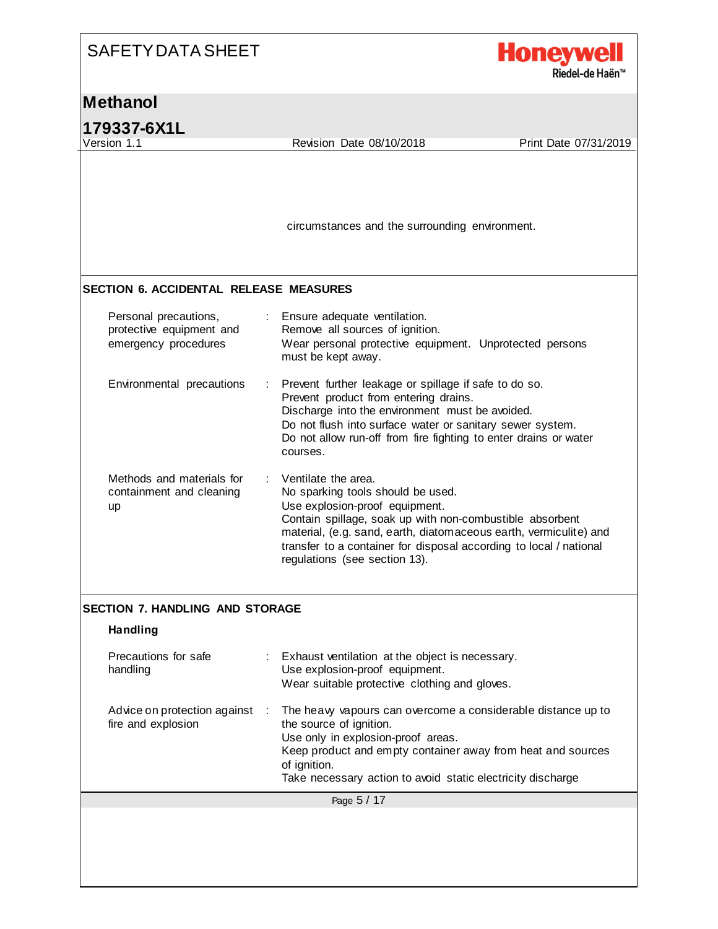

#### **Methanol**

**179337-6X1L**<br>Version 1.1

Revision Date 08/10/2018 Print Date 07/31/2019

circumstances and the surrounding environment.

#### **SECTION 6. ACCIDENTAL RELEASE MEASURES**

| Personal precautions,<br>protective equipment and<br>emergency procedures | : Ensure adequate ventilation.<br>Remove all sources of ignition.<br>Wear personal protective equipment. Unprotected persons<br>must be kept away.                                                                                                                                                                                              |
|---------------------------------------------------------------------------|-------------------------------------------------------------------------------------------------------------------------------------------------------------------------------------------------------------------------------------------------------------------------------------------------------------------------------------------------|
| Environmental precautions                                                 | : Prevent further leakage or spillage if safe to do so.<br>Prevent product from entering drains.<br>Discharge into the environment must be avoided.<br>Do not flush into surface water or sanitary sewer system.<br>Do not allow run-off from fire fighting to enter drains or water<br>courses.                                                |
| Methods and materials for<br>containment and cleaning<br><b>up</b>        | $\therefore$ Ventilate the area.<br>No sparking tools should be used.<br>Use explosion-proof equipment.<br>Contain spillage, soak up with non-combustible absorbent<br>material, (e.g. sand, earth, diatomaceous earth, vermiculite) and<br>transfer to a container for disposal according to local / national<br>regulations (see section 13). |

#### **SECTION 7. HANDLING AND STORAGE**

#### **Handling**

| Precautions for safe<br>handling                   | $\mathcal{L}_{\mathrm{max}}$ | Exhaust ventilation at the object is necessary.<br>Use explosion-proof equipment.<br>Wear suitable protective clothing and gloves.                                                                                                                                          |
|----------------------------------------------------|------------------------------|-----------------------------------------------------------------------------------------------------------------------------------------------------------------------------------------------------------------------------------------------------------------------------|
| Advice on protection against<br>fire and explosion | ÷.                           | The heavy vapours can overcome a considerable distance up to<br>the source of ignition.<br>Use only in explosion-proof areas.<br>Keep product and empty container away from heat and sources<br>of ignition.<br>Take necessary action to avoid static electricity discharge |
|                                                    |                              | Page 5 / 17                                                                                                                                                                                                                                                                 |
|                                                    |                              |                                                                                                                                                                                                                                                                             |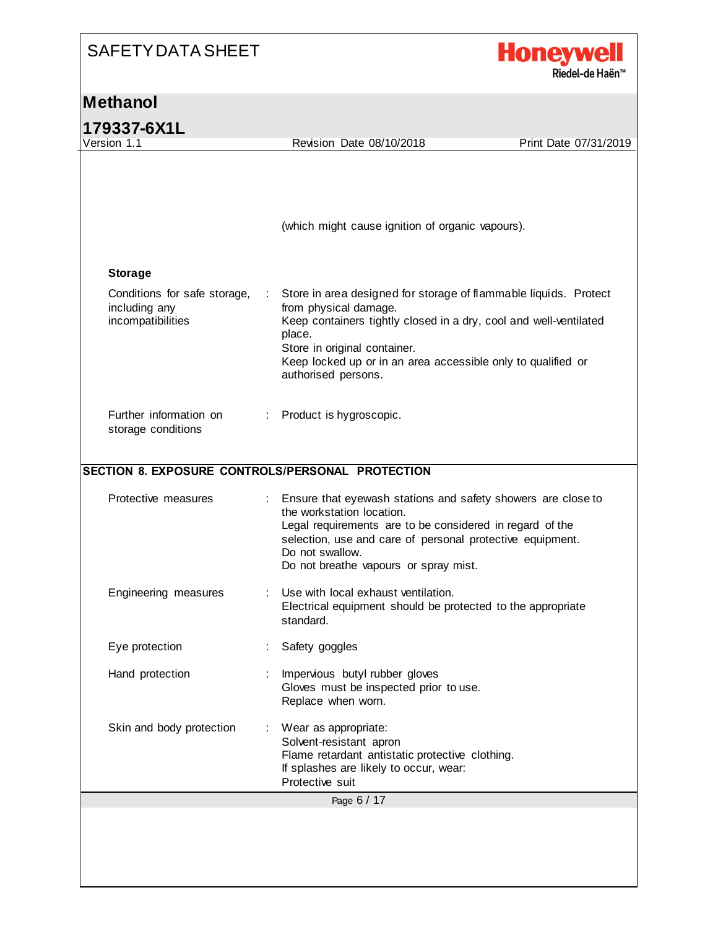

| 179337-6X1L                                                        |                |                                                                                                                                                                                                                                                                                                 |                       |
|--------------------------------------------------------------------|----------------|-------------------------------------------------------------------------------------------------------------------------------------------------------------------------------------------------------------------------------------------------------------------------------------------------|-----------------------|
| Version 1.1                                                        |                | Revision Date 08/10/2018                                                                                                                                                                                                                                                                        | Print Date 07/31/2019 |
|                                                                    |                | (which might cause ignition of organic vapours).                                                                                                                                                                                                                                                |                       |
| <b>Storage</b>                                                     |                |                                                                                                                                                                                                                                                                                                 |                       |
| Conditions for safe storage,<br>including any<br>incompatibilities |                | Store in area designed for storage of flammable liquids. Protect<br>from physical damage.<br>Keep containers tightly closed in a dry, cool and well-ventilated<br>place.<br>Store in original container.<br>Keep locked up or in an area accessible only to qualified or<br>authorised persons. |                       |
| Further information on<br>storage conditions                       |                | Product is hygroscopic.                                                                                                                                                                                                                                                                         |                       |
|                                                                    |                | SECTION 8. EXPOSURE CONTROLS/PERSONAL PROTECTION                                                                                                                                                                                                                                                |                       |
| Protective measures                                                | $\mathbb{R}^n$ | Ensure that eyewash stations and safety showers are close to<br>the workstation location.<br>Legal requirements are to be considered in regard of the<br>selection, use and care of personal protective equipment.<br>Do not swallow.<br>Do not breathe vapours or spray mist.                  |                       |
| Engineering measures                                               |                | Use with local exhaust ventilation.<br>Electrical equipment should be protected to the appropriate<br>standard.                                                                                                                                                                                 |                       |
| Eye protection                                                     |                | Safety goggles                                                                                                                                                                                                                                                                                  |                       |
| Hand protection                                                    |                | Impervious butyl rubber gloves<br>Gloves must be inspected prior to use.<br>Replace when worn.                                                                                                                                                                                                  |                       |
|                                                                    |                | Wear as appropriate:<br>Solvent-resistant apron                                                                                                                                                                                                                                                 |                       |
| Skin and body protection                                           |                | Flame retardant antistatic protective clothing.<br>If splashes are likely to occur, wear:<br>Protective suit                                                                                                                                                                                    |                       |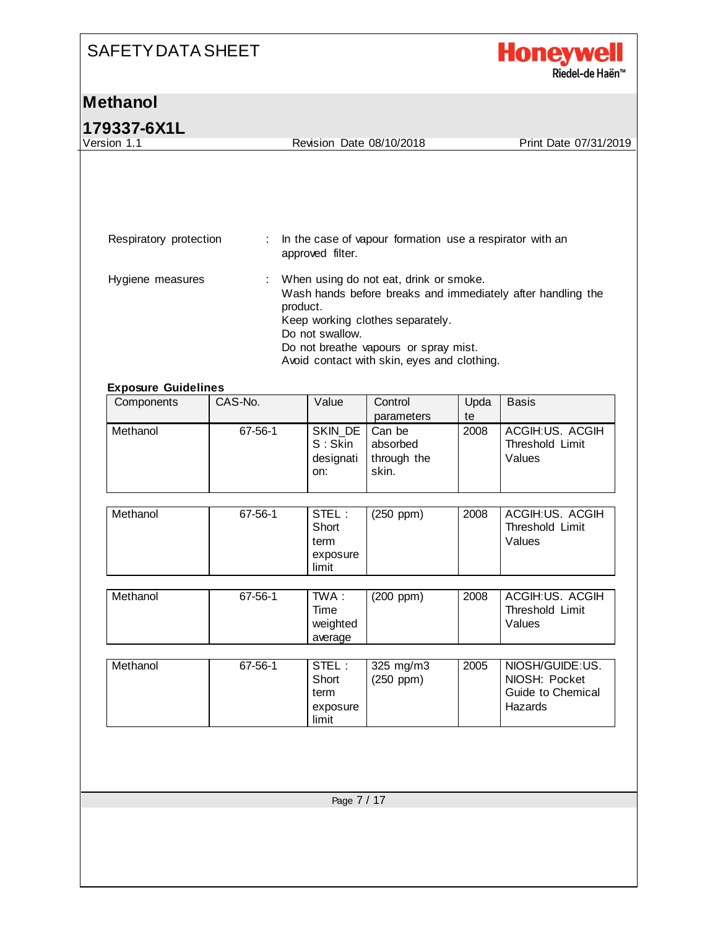

| Version 1.1                                    |                | Revision Date 08/10/2018                    |                                                                                                                                                                    |            | Print Date 07/31/2019                                            |
|------------------------------------------------|----------------|---------------------------------------------|--------------------------------------------------------------------------------------------------------------------------------------------------------------------|------------|------------------------------------------------------------------|
| Respiratory protection                         | $\sim 100$ MeV | approved filter.                            | In the case of vapour formation use a respirator with an                                                                                                           |            |                                                                  |
| Hygiene measures<br><b>Exposure Guidelines</b> | ÷              | product.<br>Do not swallow.                 | When using do not eat, drink or smoke.<br>Keep working clothes separately.<br>Do not breathe vapours or spray mist.<br>Avoid contact with skin, eyes and clothing. |            | Wash hands before breaks and immediately after handling the      |
| Components                                     | CAS-No.        | Value                                       | Control<br>parameters                                                                                                                                              | Upda<br>te | <b>Basis</b>                                                     |
| Methanol                                       | 67-56-1        | SKIN DE<br>S: Skin<br>designati<br>on:      | Can be<br>absorbed<br>through the<br>skin.                                                                                                                         | 2008       | ACGIH:US. ACGIH<br>Threshold Limit<br>Values                     |
| Methanol                                       | 67-56-1        | STEL:<br>Short<br>term<br>exposure<br>limit | $(250$ ppm $)$                                                                                                                                                     | 2008       | ACGIH:US. ACGIH<br>Threshold Limit<br>Values                     |
| Methanol                                       | 67-56-1        | TWA:<br>Time<br>weighted<br>average         | (200 ppm)                                                                                                                                                          | 2008       | ACGIH:US. ACGIH<br>Threshold Limit<br>Values                     |
| Methanol                                       | 67-56-1        | STEL:<br>Short<br>term<br>exposure<br>limit | 325 mg/m3<br>$(250$ ppm $)$                                                                                                                                        | 2005       | NIOSH/GUIDE:US.<br>NIOSH: Pocket<br>Guide to Chemical<br>Hazards |
|                                                |                |                                             |                                                                                                                                                                    |            |                                                                  |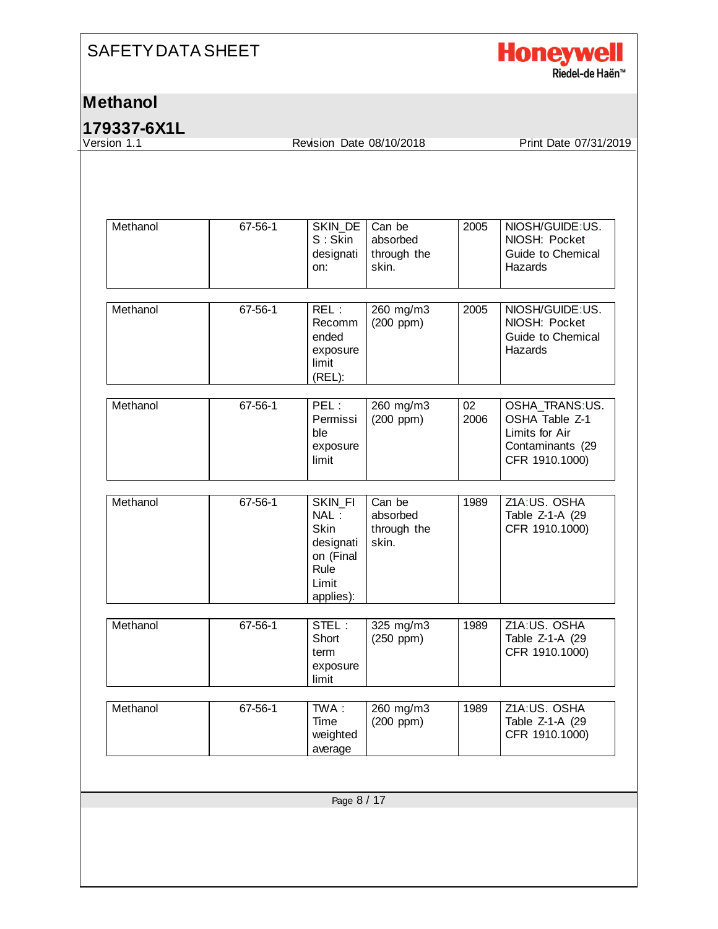

#### **Methanol**

**179337-6X1L**

Revision Date 08/10/2018 Print Date 07/31/2019

| Methanol | 67-56-1 | SKIN_DE<br>$S:$ Skin<br>designati<br>on:                                                      | Can be<br>absorbed<br>through the<br>skin. | 2005       | NIOSH/GUIDE:US.<br>NIOSH: Pocket<br>Guide to Chemical<br>Hazards                         |
|----------|---------|-----------------------------------------------------------------------------------------------|--------------------------------------------|------------|------------------------------------------------------------------------------------------|
| Methanol | 67-56-1 | REL:<br>Recomm<br>ended<br>exposure<br>limit<br>(REL):                                        | 260 mg/m3<br>$(200$ ppm $)$                | 2005       | NIOSH/GUIDE:US.<br>NIOSH: Pocket<br>Guide to Chemical<br>Hazards                         |
| Methanol | 67-56-1 | PEL:<br>Permissi<br>ble<br>exposure<br>limit                                                  | 260 mg/m3<br>$(200$ ppm $)$                | 02<br>2006 | OSHA_TRANS:US.<br>OSHA Table Z-1<br>Limits for Air<br>Contaminants (29<br>CFR 1910.1000) |
| Methanol | 67-56-1 | <b>SKIN FI</b><br>NAL:<br><b>Skin</b><br>designati<br>on (Final<br>Rule<br>Limit<br>applies): | Can be<br>absorbed<br>through the<br>skin. | 1989       | Z1A:US. OSHA<br>Table Z-1-A (29<br>CFR 1910.1000)                                        |
| Methanol | 67-56-1 | STEL:<br>Short<br>term<br>exposure<br>limit                                                   | 325 mg/m3<br>$(250$ ppm $)$                | 1989       | Z1A:US. OSHA<br>Table Z-1-A (29<br>CFR 1910.1000)                                        |
| Methanol | 67-56-1 | TWA:<br>Time<br>weighted<br>average                                                           | 260 mg/m3<br>$(200$ ppm $)$                | 1989       | Z1A:US. OSHA<br>Table Z-1-A (29<br>CFR 1910.1000)                                        |
|          |         | Page 8 / 17                                                                                   |                                            |            |                                                                                          |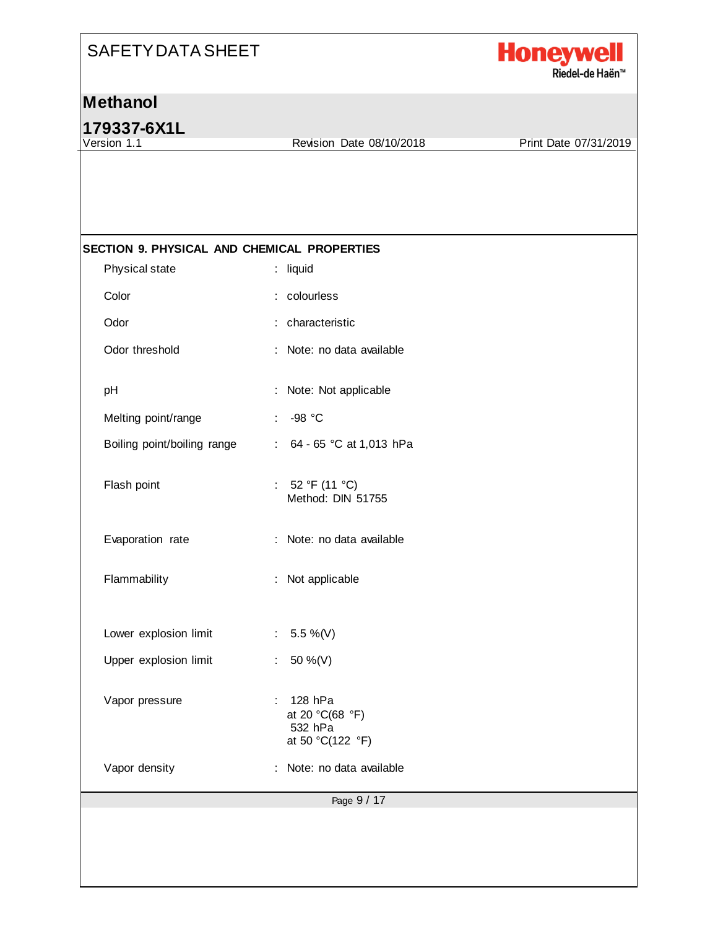

**179337-6X1L**

Revision Date 08/10/2018 Print Date 07/31/2019

| Physical state              | : liquid                                                                                  |
|-----------------------------|-------------------------------------------------------------------------------------------|
| Color                       | : colourless                                                                              |
| Odor                        | : characteristic                                                                          |
| Odor threshold              | : Note: no data available                                                                 |
| pH                          | : Note: Not applicable                                                                    |
| Melting point/range         | -98 °C                                                                                    |
| Boiling point/boiling range | 64 - 65 °C at 1,013 hPa<br>÷                                                              |
| Flash point                 | : $52 °F (11 °C)$<br>Method: DIN 51755                                                    |
| Evaporation rate            | : Note: no data available                                                                 |
| Flammability                | : Not applicable                                                                          |
| Lower explosion limit       | 5.5 %(V)<br>$\mathcal{L}_{\mathcal{A}}$                                                   |
| Upper explosion limit       | 50 %(V)<br>÷                                                                              |
| Vapor pressure              | 128 hPa<br>$\mathcal{L}_{\mathrm{eff}}$<br>at 20 °C(68 °F)<br>532 hPa<br>at 50 °C(122 °F) |
| Vapor density               | Note: no data available                                                                   |
|                             | Page 9 / 17                                                                               |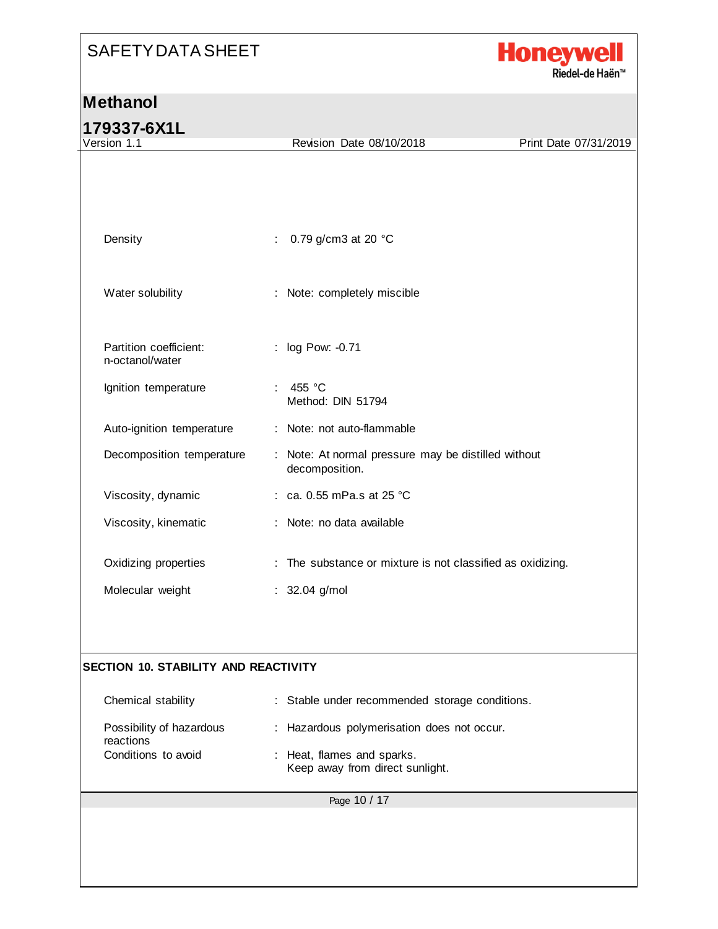

| 179337-6X1L                                 |                                                                       |                       |
|---------------------------------------------|-----------------------------------------------------------------------|-----------------------|
| Version 1.1                                 | Revision Date 08/10/2018                                              | Print Date 07/31/2019 |
|                                             |                                                                       |                       |
|                                             |                                                                       |                       |
|                                             |                                                                       |                       |
| Density                                     | 0.79 g/cm3 at 20 °C                                                   |                       |
|                                             |                                                                       |                       |
|                                             |                                                                       |                       |
| Water solubility                            | : Note: completely miscible                                           |                       |
|                                             |                                                                       |                       |
|                                             |                                                                       |                       |
| Partition coefficient:<br>n-octanol/water   | : log Pow: -0.71                                                      |                       |
| Ignition temperature                        | 455 °C                                                                |                       |
|                                             | Method: DIN 51794                                                     |                       |
| Auto-ignition temperature                   | : Note: not auto-flammable                                            |                       |
|                                             |                                                                       |                       |
| Decomposition temperature                   | : Note: At normal pressure may be distilled without<br>decomposition. |                       |
| Viscosity, dynamic                          | : ca. 0.55 mPa.s at 25 °C                                             |                       |
|                                             |                                                                       |                       |
| Viscosity, kinematic                        | : Note: no data available                                             |                       |
|                                             |                                                                       |                       |
| Oxidizing properties                        | : The substance or mixture is not classified as oxidizing.            |                       |
| Molecular weight                            | : 32.04 g/mol                                                         |                       |
|                                             |                                                                       |                       |
|                                             |                                                                       |                       |
| <b>SECTION 10. STABILITY AND REACTIVITY</b> |                                                                       |                       |
|                                             |                                                                       |                       |
| Chemical stability                          | : Stable under recommended storage conditions.                        |                       |
| Possibility of hazardous                    | Hazardous polymerisation does not occur.                              |                       |
| reactions                                   |                                                                       |                       |
| Conditions to avoid                         | Heat, flames and sparks.<br>Keep away from direct sunlight.           |                       |
|                                             |                                                                       |                       |
|                                             | Page 10 / 17                                                          |                       |
|                                             |                                                                       |                       |
|                                             |                                                                       |                       |
|                                             |                                                                       |                       |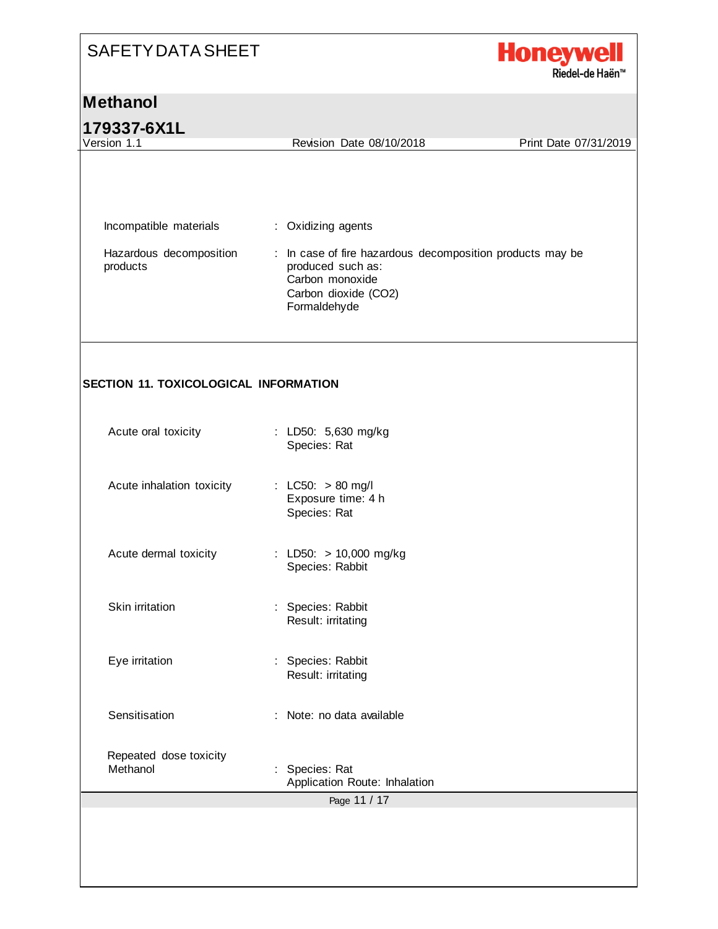

| 179337-6X1L                                  |                                                                                                                                           |                       |
|----------------------------------------------|-------------------------------------------------------------------------------------------------------------------------------------------|-----------------------|
| Version 1.1                                  | Revision Date 08/10/2018                                                                                                                  | Print Date 07/31/2019 |
|                                              |                                                                                                                                           |                       |
|                                              |                                                                                                                                           |                       |
| Incompatible materials                       | : Oxidizing agents                                                                                                                        |                       |
| Hazardous decomposition<br>products          | : In case of fire hazardous decomposition products may be<br>produced such as:<br>Carbon monoxide<br>Carbon dioxide (CO2)<br>Formaldehyde |                       |
| <b>SECTION 11. TOXICOLOGICAL INFORMATION</b> |                                                                                                                                           |                       |
| Acute oral toxicity                          | : LD50: 5,630 mg/kg<br>Species: Rat                                                                                                       |                       |
| Acute inhalation toxicity                    | : LC50: $> 80$ mg/l<br>Exposure time: 4 h<br>Species: Rat                                                                                 |                       |
| Acute dermal toxicity                        | : LD50: > 10,000 mg/kg<br>Species: Rabbit                                                                                                 |                       |
| Skin irritation                              | : Species: Rabbit<br>Result: irritating                                                                                                   |                       |
| Eye irritation                               | Species: Rabbit<br>Result: irritating                                                                                                     |                       |
| Sensitisation                                | : Note: no data available                                                                                                                 |                       |
|                                              |                                                                                                                                           |                       |
| Repeated dose toxicity<br>Methanol           | Species: Rat<br>Application Route: Inhalation<br>Page 11 / 17                                                                             |                       |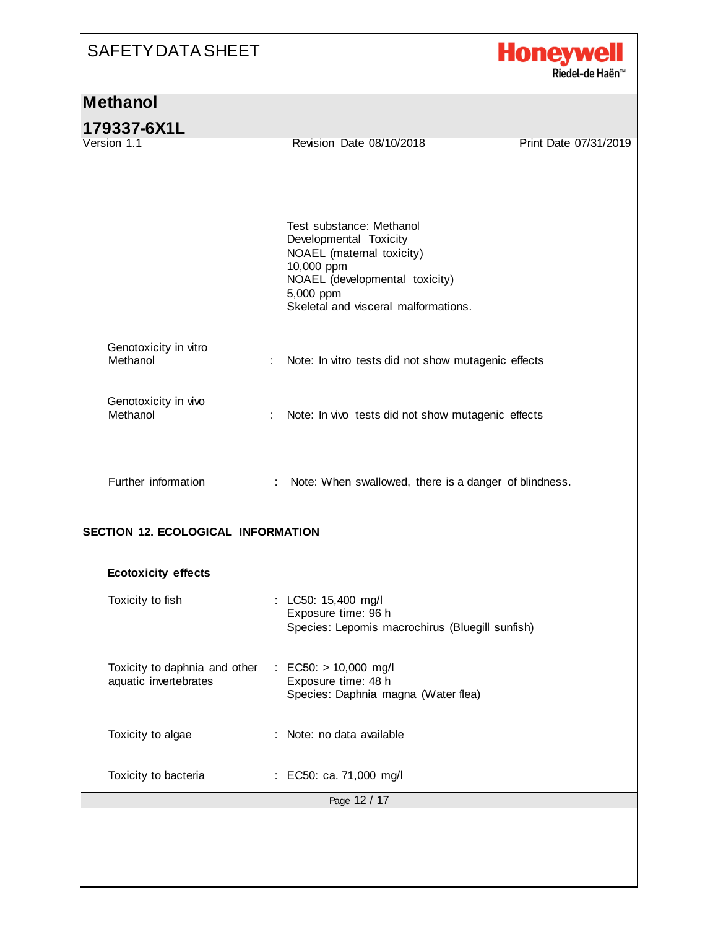

| Version 1.1                                                                          | Revision Date 08/10/2018                                                                                                                                                             | Print Date 07/31/2019 |
|--------------------------------------------------------------------------------------|--------------------------------------------------------------------------------------------------------------------------------------------------------------------------------------|-----------------------|
|                                                                                      | Test substance: Methanol<br>Developmental Toxicity<br>NOAEL (maternal toxicity)<br>10,000 ppm<br>NOAEL (developmental toxicity)<br>5,000 ppm<br>Skeletal and visceral malformations. |                       |
| Genotoxicity in vitro<br>Methanol                                                    | Note: In vitro tests did not show mutagenic effects<br>÷                                                                                                                             |                       |
| Genotoxicity in vivo<br>Methanol                                                     | Note: In vivo tests did not show mutagenic effects                                                                                                                                   |                       |
| Further information                                                                  | : Note: When swallowed, there is a danger of blindness.                                                                                                                              |                       |
|                                                                                      |                                                                                                                                                                                      |                       |
|                                                                                      |                                                                                                                                                                                      |                       |
| Toxicity to fish                                                                     | : LC50: 15,400 mg/l<br>Exposure time: 96 h<br>Species: Lepomis macrochirus (Bluegill sunfish)                                                                                        |                       |
| <b>Ecotoxicity effects</b><br>Toxicity to daphnia and other<br>aquatic invertebrates | : EC50: $> 10,000$ mg/l<br>Exposure time: 48 h<br>Species: Daphnia magna (Water flea)                                                                                                |                       |
| Toxicity to algae                                                                    | Note: no data available                                                                                                                                                              |                       |
| <b>SECTION 12. ECOLOGICAL INFORMATION</b><br>Toxicity to bacteria                    | : EC50: ca. 71,000 mg/l                                                                                                                                                              |                       |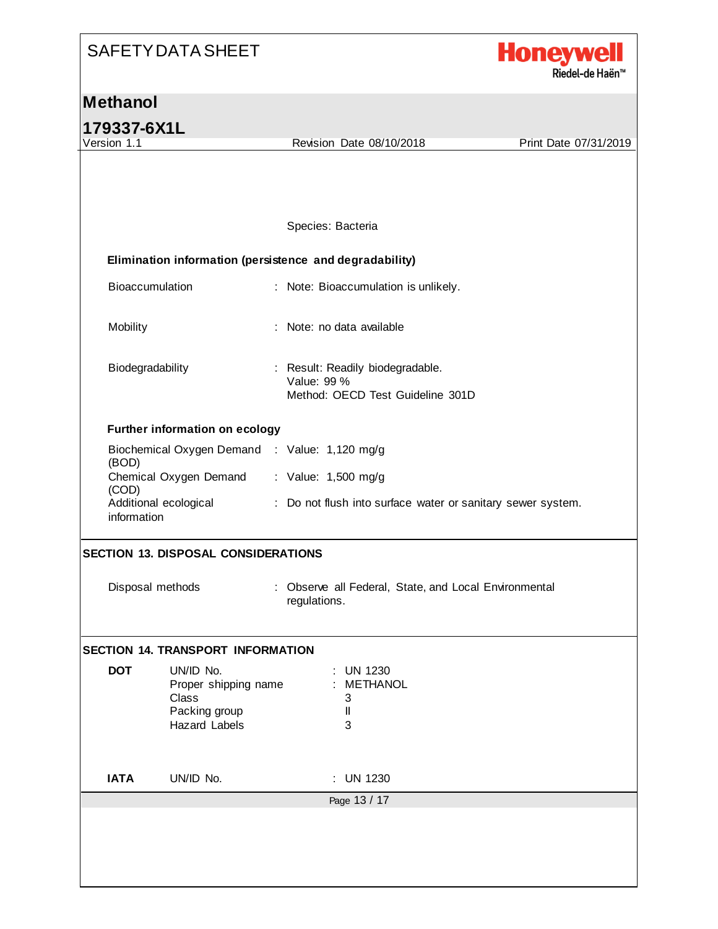

#### **Methanol**

**179337-6X1L** Page 13 / 17 Revision Date 08/10/2018 Print Date 07/31/2019 Species: Bacteria **Elimination information (persistence and degradability)** Bioaccumulation : Note: Bioaccumulation is unlikely. Mobility : Note: no data available Biodegradability : Result: Readily biodegradable. Value: 99 % Method: OECD Test Guideline 301D **Further information on ecology** Biochemical Oxygen Demand : Value: 1,120 mg/g (BOD) Chemical Oxygen Demand : Value: 1,500 mg/g (COD) Additional ecological : Do not flush into surface water or sanitary sewer system. information **SECTION 13. DISPOSAL CONSIDERATIONS** Disposal methods : Observe all Federal, State, and Local Environmental regulations. **SECTION 14. TRANSPORT INFORMATION DOT** UN/ID No. : UN 1230 Proper shipping name : METHANOL Class 3 Packing group II Hazard Labels 3 **IATA** UN/ID No. : UN 1230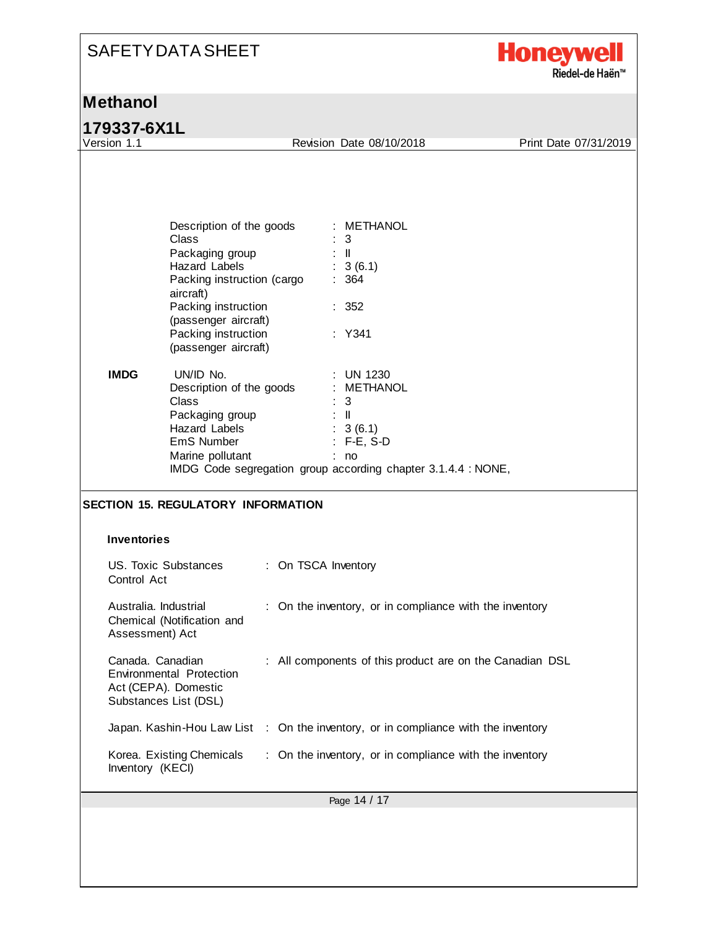| <b>SAFETY DATA SHEET</b> |
|--------------------------|
|--------------------------|



|  |  | 179337-6X1L |  |  |  |  |
|--|--|-------------|--|--|--|--|
|  |  |             |  |  |  |  |

| Revision Date 08/10/2018<br>Description of the goods<br>: METHANOL<br>Class<br>$\therefore$ 3<br>Packaging group<br>$\lesssim 10$<br>: 3(6.1)<br>Hazard Labels<br>Packing instruction (cargo<br>: 364<br>aircraft)<br>Packing instruction<br>: 352<br>(passenger aircraft)<br>Packing instruction<br>: Y341<br>(passenger aircraft) |             |                                             |                                        |                       |
|-------------------------------------------------------------------------------------------------------------------------------------------------------------------------------------------------------------------------------------------------------------------------------------------------------------------------------------|-------------|---------------------------------------------|----------------------------------------|-----------------------|
|                                                                                                                                                                                                                                                                                                                                     | Version 1.1 |                                             |                                        | Print Date 07/31/2019 |
|                                                                                                                                                                                                                                                                                                                                     |             |                                             |                                        |                       |
| Description of the goods<br>: METHANOL<br>Class<br>- 3<br>Packaging group<br>$\mathbb{R}^{\mathbb{N}}$<br>Hazard Labels<br>: 3(6.1)                                                                                                                                                                                                 | <b>IMDG</b> | UN/ID No.<br>EmS Number<br>Marine pollutant | <b>UN 1230</b><br>$: F-E, S-D$<br>: no |                       |
|                                                                                                                                                                                                                                                                                                                                     |             |                                             |                                        |                       |
| IMDG Code segregation group according chapter 3.1.4.4 : NONE,                                                                                                                                                                                                                                                                       |             |                                             |                                        |                       |
|                                                                                                                                                                                                                                                                                                                                     |             |                                             |                                        |                       |
|                                                                                                                                                                                                                                                                                                                                     |             |                                             |                                        |                       |
| <b>Inventories</b>                                                                                                                                                                                                                                                                                                                  |             |                                             |                                        |                       |
| US. Toxic Substances<br>: On TSCA Inventory<br>Control Act                                                                                                                                                                                                                                                                          |             |                                             |                                        |                       |
| Australia. Industrial<br>: On the inventory, or in compliance with the inventory<br>Chemical (Notification and<br>Assessment) Act                                                                                                                                                                                                   |             |                                             |                                        |                       |
| Canada. Canadian<br>All components of this product are on the Canadian DSL<br>Environmental Protection<br>Act (CEPA). Domestic<br>Substances List (DSL)                                                                                                                                                                             |             |                                             |                                        |                       |
| Japan. Kashin-Hou Law List : On the inventory, or in compliance with the inventory                                                                                                                                                                                                                                                  |             |                                             |                                        |                       |
| <b>SECTION 15. REGULATORY INFORMATION</b><br>Korea. Existing Chemicals<br>: On the inventory, or in compliance with the inventory<br>Inventory (KECI)                                                                                                                                                                               |             |                                             |                                        |                       |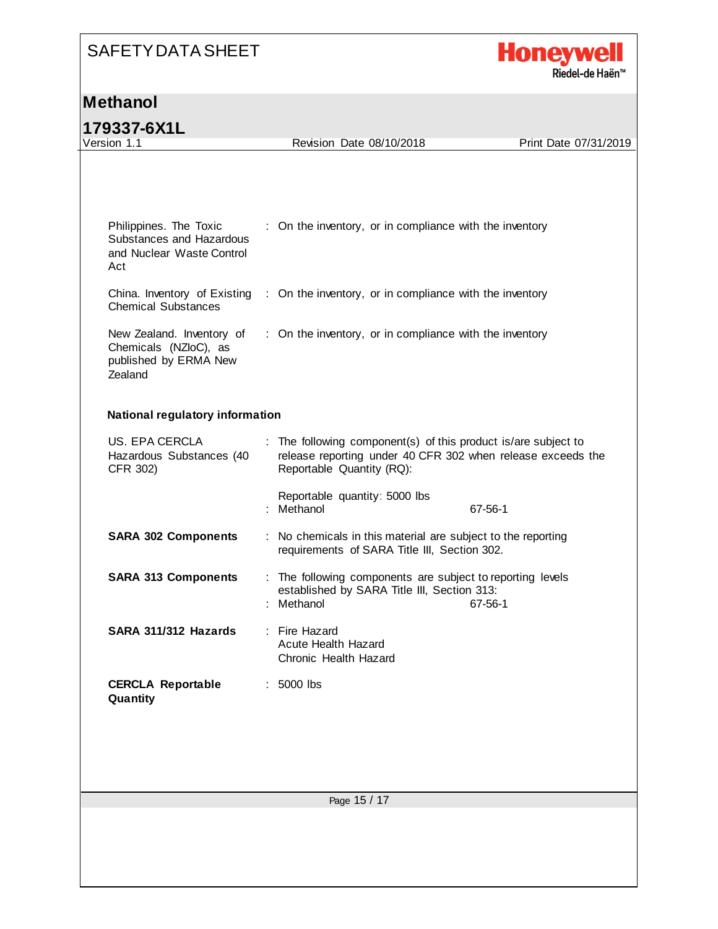

#### **Methanol**

**179337-6X1L**

| 179997-071L                                                                            |                                                                                                                                                            |                       |
|----------------------------------------------------------------------------------------|------------------------------------------------------------------------------------------------------------------------------------------------------------|-----------------------|
| Version 1.1                                                                            | Revision Date 08/10/2018                                                                                                                                   | Print Date 07/31/2019 |
| Philippines. The Toxic<br>Substances and Hazardous<br>and Nuclear Waste Control<br>Act | : On the inventory, or in compliance with the inventory<br>China. Inventory of Existing : On the inventory, or in compliance with the inventory            |                       |
| <b>Chemical Substances</b>                                                             |                                                                                                                                                            |                       |
| New Zealand. Inventory of<br>Chemicals (NZloC), as<br>published by ERMA New<br>Zealand | : On the inventory, or in compliance with the inventory                                                                                                    |                       |
| <b>National regulatory information</b>                                                 |                                                                                                                                                            |                       |
| US. EPA CERCLA<br>Hazardous Substances (40<br>CFR 302)                                 | : The following component(s) of this product is/are subject to<br>release reporting under 40 CFR 302 when release exceeds the<br>Reportable Quantity (RQ): |                       |
|                                                                                        | Reportable quantity: 5000 lbs<br>: Methanol                                                                                                                | 67-56-1               |
| <b>SARA 302 Components</b>                                                             | : No chemicals in this material are subject to the reporting<br>requirements of SARA Title III, Section 302.                                               |                       |
| <b>SARA 313 Components</b>                                                             | : The following components are subject to reporting levels<br>established by SARA Title III, Section 313:<br>: Methanol                                    | 67-56-1               |
| SARA 311/312 Hazards                                                                   | : Fire Hazard<br><b>Acute Health Hazard</b><br>Chronic Health Hazard                                                                                       |                       |
| <b>CERCLA Reportable</b><br>Quantity                                                   | 5000 lbs                                                                                                                                                   |                       |
|                                                                                        |                                                                                                                                                            |                       |
|                                                                                        | Page 15 / 17                                                                                                                                               |                       |
|                                                                                        |                                                                                                                                                            |                       |
|                                                                                        |                                                                                                                                                            |                       |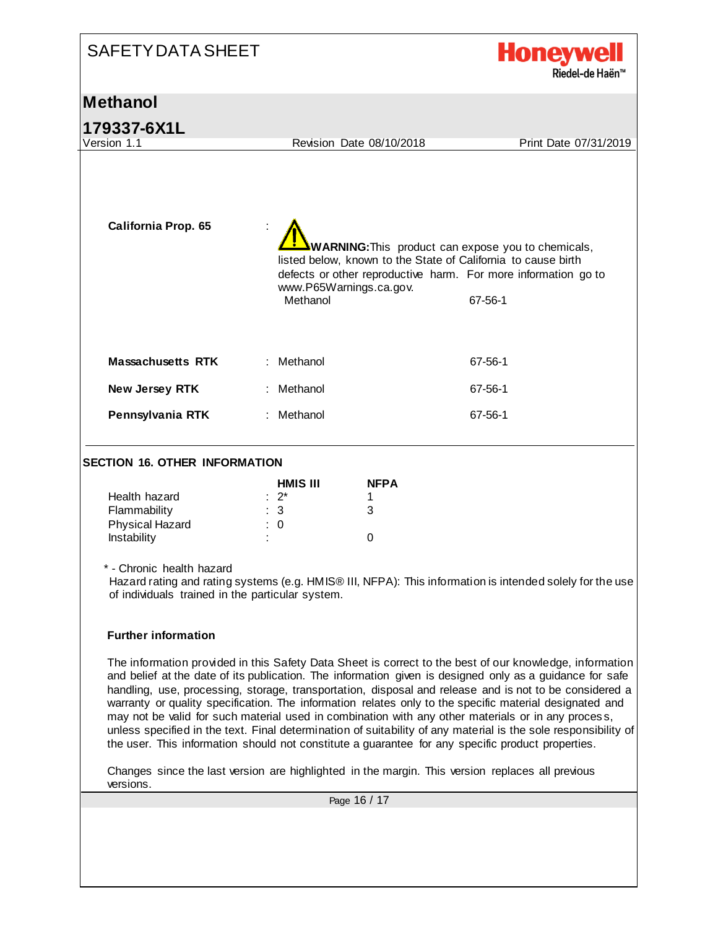| <b>SAFETY DATA SHEET</b>                                                                                                                                                                                                                   |                                                                                                                                                                                                                                                                                                                                                                                                                                                                                                                                                                                                                                                                                                                                                                                                                                                                                                                                                                                                                                                                           | <b>Honeywell</b><br>Riedel-de Haën™ |
|--------------------------------------------------------------------------------------------------------------------------------------------------------------------------------------------------------------------------------------------|---------------------------------------------------------------------------------------------------------------------------------------------------------------------------------------------------------------------------------------------------------------------------------------------------------------------------------------------------------------------------------------------------------------------------------------------------------------------------------------------------------------------------------------------------------------------------------------------------------------------------------------------------------------------------------------------------------------------------------------------------------------------------------------------------------------------------------------------------------------------------------------------------------------------------------------------------------------------------------------------------------------------------------------------------------------------------|-------------------------------------|
| <b>Methanol</b>                                                                                                                                                                                                                            |                                                                                                                                                                                                                                                                                                                                                                                                                                                                                                                                                                                                                                                                                                                                                                                                                                                                                                                                                                                                                                                                           |                                     |
| 179337-6X1L                                                                                                                                                                                                                                |                                                                                                                                                                                                                                                                                                                                                                                                                                                                                                                                                                                                                                                                                                                                                                                                                                                                                                                                                                                                                                                                           |                                     |
| Version 1.1                                                                                                                                                                                                                                | Revision Date 08/10/2018                                                                                                                                                                                                                                                                                                                                                                                                                                                                                                                                                                                                                                                                                                                                                                                                                                                                                                                                                                                                                                                  | Print Date 07/31/2019               |
| <b>California Prop. 65</b>                                                                                                                                                                                                                 | <b>WARNING:</b> This product can expose you to chemicals,<br>listed below, known to the State of California to cause birth<br>defects or other reproductive harm. For more information go to<br>www.P65Warnings.ca.gov.<br>Methanol                                                                                                                                                                                                                                                                                                                                                                                                                                                                                                                                                                                                                                                                                                                                                                                                                                       | 67-56-1                             |
| <b>Massachusetts RTK</b>                                                                                                                                                                                                                   | Methanol                                                                                                                                                                                                                                                                                                                                                                                                                                                                                                                                                                                                                                                                                                                                                                                                                                                                                                                                                                                                                                                                  | 67-56-1                             |
| New Jersey RTK                                                                                                                                                                                                                             | : Methanol                                                                                                                                                                                                                                                                                                                                                                                                                                                                                                                                                                                                                                                                                                                                                                                                                                                                                                                                                                                                                                                                | 67-56-1                             |
| Pennsylvania RTK                                                                                                                                                                                                                           | Methanol                                                                                                                                                                                                                                                                                                                                                                                                                                                                                                                                                                                                                                                                                                                                                                                                                                                                                                                                                                                                                                                                  | 67-56-1                             |
| <b>SECTION 16. OTHER INFORMATION</b><br>Health hazard<br>Flammability<br><b>Physical Hazard</b><br>Instability<br>* - Chronic health hazard<br>of individuals trained in the particular system.<br><b>Further information</b><br>versions. | <b>NFPA</b><br>HMIS III<br>$2^*$<br>1<br>3<br>3<br>$\Omega$<br>0<br>Hazard rating and rating systems (e.g. HMIS® III, NFPA): This information is intended solely for the use<br>The information provided in this Safety Data Sheet is correct to the best of our knowledge, information<br>and belief at the date of its publication. The information given is designed only as a guidance for safe<br>handling, use, processing, storage, transportation, disposal and release and is not to be considered a<br>warranty or quality specification. The information relates only to the specific material designated and<br>may not be valid for such material used in combination with any other materials or in any process,<br>unless specified in the text. Final determination of suitability of any material is the sole responsibility of<br>the user. This information should not constitute a guarantee for any specific product properties.<br>Changes since the last version are highlighted in the margin. This version replaces all previous<br>Page 16 / 17 |                                     |
|                                                                                                                                                                                                                                            |                                                                                                                                                                                                                                                                                                                                                                                                                                                                                                                                                                                                                                                                                                                                                                                                                                                                                                                                                                                                                                                                           |                                     |